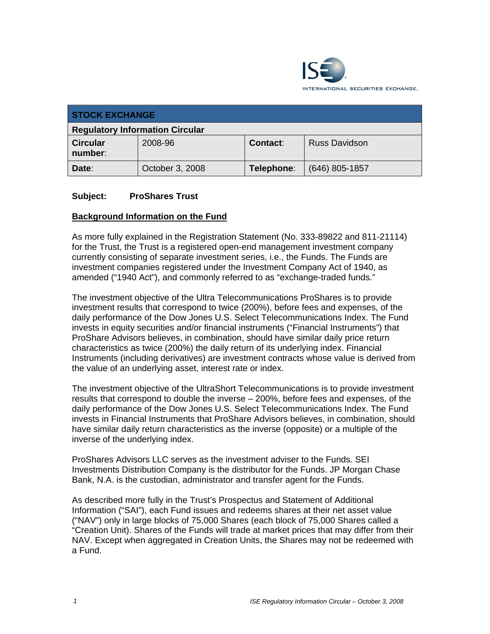

| <b>STOCK EXCHANGE</b>                  |                 |            |                      |
|----------------------------------------|-----------------|------------|----------------------|
| <b>Regulatory Information Circular</b> |                 |            |                      |
| <b>Circular</b><br>number:             | 2008-96         | Contact:   | <b>Russ Davidson</b> |
| Date:                                  | October 3, 2008 | Telephone: | $(646)$ 805-1857     |

#### **Subject: ProShares Trust**

#### **Background Information on the Fund**

As more fully explained in the Registration Statement (No. 333-89822 and 811-21114) for the Trust, the Trust is a registered open-end management investment company currently consisting of separate investment series, i.e., the Funds. The Funds are investment companies registered under the Investment Company Act of 1940, as amended ("1940 Act"), and commonly referred to as "exchange-traded funds."

The investment objective of the Ultra Telecommunications ProShares is to provide investment results that correspond to twice (200%), before fees and expenses, of the daily performance of the Dow Jones U.S. Select Telecommunications Index. The Fund invests in equity securities and/or financial instruments ("Financial Instruments") that ProShare Advisors believes, in combination, should have similar daily price return characteristics as twice (200%) the daily return of its underlying index. Financial Instruments (including derivatives) are investment contracts whose value is derived from the value of an underlying asset, interest rate or index.

The investment objective of the UltraShort Telecommunications is to provide investment results that correspond to double the inverse – 200%, before fees and expenses, of the daily performance of the Dow Jones U.S. Select Telecommunications Index. The Fund invests in Financial Instruments that ProShare Advisors believes, in combination, should have similar daily return characteristics as the inverse (opposite) or a multiple of the inverse of the underlying index.

ProShares Advisors LLC serves as the investment adviser to the Funds. SEI Investments Distribution Company is the distributor for the Funds. JP Morgan Chase Bank, N.A. is the custodian, administrator and transfer agent for the Funds.

As described more fully in the Trust's Prospectus and Statement of Additional Information ("SAI"), each Fund issues and redeems shares at their net asset value ("NAV") only in large blocks of 75,000 Shares (each block of 75,000 Shares called a "Creation Unit). Shares of the Funds will trade at market prices that may differ from their NAV. Except when aggregated in Creation Units, the Shares may not be redeemed with a Fund.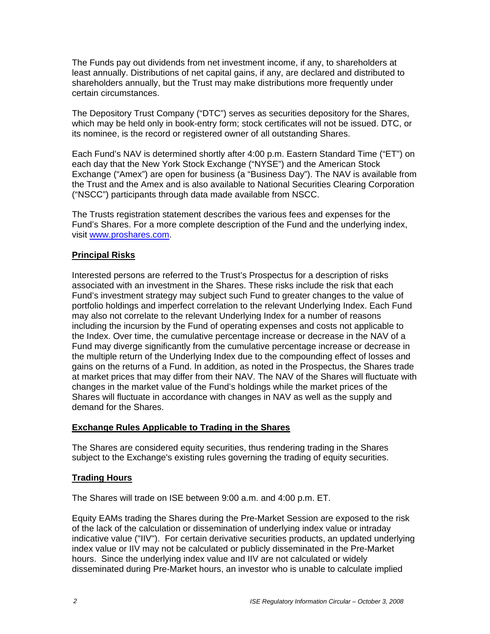The Funds pay out dividends from net investment income, if any, to shareholders at least annually. Distributions of net capital gains, if any, are declared and distributed to shareholders annually, but the Trust may make distributions more frequently under certain circumstances.

The Depository Trust Company ("DTC") serves as securities depository for the Shares, which may be held only in book-entry form; stock certificates will not be issued. DTC, or its nominee, is the record or registered owner of all outstanding Shares.

Each Fund's NAV is determined shortly after 4:00 p.m. Eastern Standard Time ("ET") on each day that the New York Stock Exchange ("NYSE") and the American Stock Exchange ("Amex") are open for business (a "Business Day"). The NAV is available from the Trust and the Amex and is also available to National Securities Clearing Corporation ("NSCC") participants through data made available from NSCC.

The Trusts registration statement describes the various fees and expenses for the Fund's Shares. For a more complete description of the Fund and the underlying index, visit www.proshares.com.

### **Principal Risks**

Interested persons are referred to the Trust's Prospectus for a description of risks associated with an investment in the Shares. These risks include the risk that each Fund's investment strategy may subject such Fund to greater changes to the value of portfolio holdings and imperfect correlation to the relevant Underlying Index. Each Fund may also not correlate to the relevant Underlying Index for a number of reasons including the incursion by the Fund of operating expenses and costs not applicable to the Index. Over time, the cumulative percentage increase or decrease in the NAV of a Fund may diverge significantly from the cumulative percentage increase or decrease in the multiple return of the Underlying Index due to the compounding effect of losses and gains on the returns of a Fund. In addition, as noted in the Prospectus, the Shares trade at market prices that may differ from their NAV. The NAV of the Shares will fluctuate with changes in the market value of the Fund's holdings while the market prices of the Shares will fluctuate in accordance with changes in NAV as well as the supply and demand for the Shares.

#### **Exchange Rules Applicable to Trading in the Shares**

The Shares are considered equity securities, thus rendering trading in the Shares subject to the Exchange's existing rules governing the trading of equity securities.

### **Trading Hours**

The Shares will trade on ISE between 9:00 a.m. and 4:00 p.m. ET.

Equity EAMs trading the Shares during the Pre-Market Session are exposed to the risk of the lack of the calculation or dissemination of underlying index value or intraday indicative value ("IIV"). For certain derivative securities products, an updated underlying index value or IIV may not be calculated or publicly disseminated in the Pre-Market hours. Since the underlying index value and IIV are not calculated or widely disseminated during Pre-Market hours, an investor who is unable to calculate implied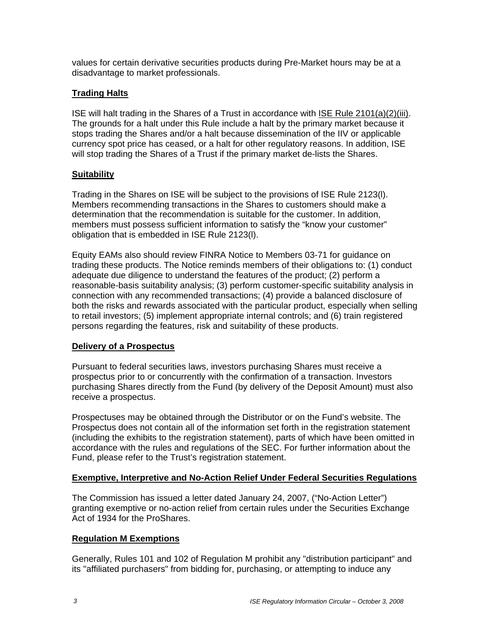values for certain derivative securities products during Pre-Market hours may be at a disadvantage to market professionals.

## **Trading Halts**

ISE will halt trading in the Shares of a Trust in accordance with ISE Rule 2101(a)(2)(iii). The grounds for a halt under this Rule include a halt by the primary market because it stops trading the Shares and/or a halt because dissemination of the IIV or applicable currency spot price has ceased, or a halt for other regulatory reasons. In addition, ISE will stop trading the Shares of a Trust if the primary market de-lists the Shares.

## **Suitability**

Trading in the Shares on ISE will be subject to the provisions of ISE Rule 2123(l). Members recommending transactions in the Shares to customers should make a determination that the recommendation is suitable for the customer. In addition, members must possess sufficient information to satisfy the "know your customer" obligation that is embedded in ISE Rule 2123(l).

Equity EAMs also should review FINRA Notice to Members 03-71 for guidance on trading these products. The Notice reminds members of their obligations to: (1) conduct adequate due diligence to understand the features of the product; (2) perform a reasonable-basis suitability analysis; (3) perform customer-specific suitability analysis in connection with any recommended transactions; (4) provide a balanced disclosure of both the risks and rewards associated with the particular product, especially when selling to retail investors; (5) implement appropriate internal controls; and (6) train registered persons regarding the features, risk and suitability of these products.

### **Delivery of a Prospectus**

Pursuant to federal securities laws, investors purchasing Shares must receive a prospectus prior to or concurrently with the confirmation of a transaction. Investors purchasing Shares directly from the Fund (by delivery of the Deposit Amount) must also receive a prospectus.

Prospectuses may be obtained through the Distributor or on the Fund's website. The Prospectus does not contain all of the information set forth in the registration statement (including the exhibits to the registration statement), parts of which have been omitted in accordance with the rules and regulations of the SEC. For further information about the Fund, please refer to the Trust's registration statement.

### **Exemptive, Interpretive and No-Action Relief Under Federal Securities Regulations**

The Commission has issued a letter dated January 24, 2007, ("No-Action Letter") granting exemptive or no-action relief from certain rules under the Securities Exchange Act of 1934 for the ProShares.

### **Regulation M Exemptions**

Generally, Rules 101 and 102 of Regulation M prohibit any "distribution participant" and its "affiliated purchasers" from bidding for, purchasing, or attempting to induce any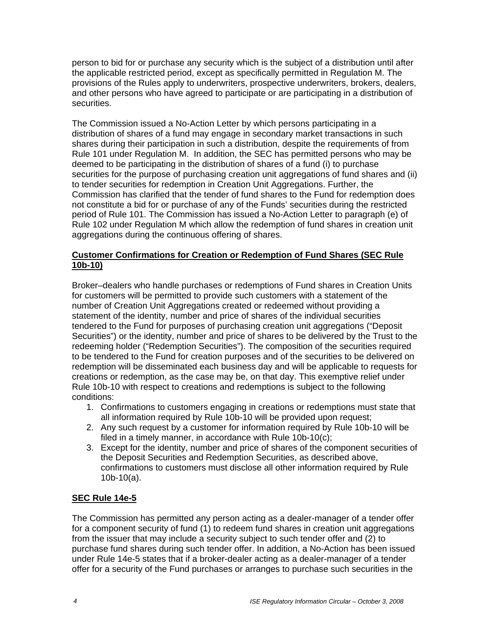person to bid for or purchase any security which is the subject of a distribution until after the applicable restricted period, except as specifically permitted in Regulation M. The provisions of the Rules apply to underwriters, prospective underwriters, brokers, dealers, and other persons who have agreed to participate or are participating in a distribution of securities.

The Commission issued a No-Action Letter by which persons participating in a distribution of shares of a fund may engage in secondary market transactions in such shares during their participation in such a distribution, despite the requirements of from Rule 101 under Regulation M. In addition, the SEC has permitted persons who may be deemed to be participating in the distribution of shares of a fund (i) to purchase securities for the purpose of purchasing creation unit aggregations of fund shares and (ii) to tender securities for redemption in Creation Unit Aggregations. Further, the Commission has clarified that the tender of fund shares to the Fund for redemption does not constitute a bid for or purchase of any of the Funds' securities during the restricted period of Rule 101. The Commission has issued a No-Action Letter to paragraph (e) of Rule 102 under Regulation M which allow the redemption of fund shares in creation unit aggregations during the continuous offering of shares.

## **Customer Confirmations for Creation or Redemption of Fund Shares (SEC Rule 10b-10)**

Broker–dealers who handle purchases or redemptions of Fund shares in Creation Units for customers will be permitted to provide such customers with a statement of the number of Creation Unit Aggregations created or redeemed without providing a statement of the identity, number and price of shares of the individual securities tendered to the Fund for purposes of purchasing creation unit aggregations ("Deposit Securities") or the identity, number and price of shares to be delivered by the Trust to the redeeming holder ("Redemption Securities"). The composition of the securities required to be tendered to the Fund for creation purposes and of the securities to be delivered on redemption will be disseminated each business day and will be applicable to requests for creations or redemption, as the case may be, on that day. This exemptive relief under Rule 10b-10 with respect to creations and redemptions is subject to the following conditions:

- 1. Confirmations to customers engaging in creations or redemptions must state that all information required by Rule 10b-10 will be provided upon request;
- 2. Any such request by a customer for information required by Rule 10b-10 will be filed in a timely manner, in accordance with Rule 10b-10(c);
- 3. Except for the identity, number and price of shares of the component securities of the Deposit Securities and Redemption Securities, as described above, confirmations to customers must disclose all other information required by Rule 10b-10(a).

### **SEC Rule 14e-5**

The Commission has permitted any person acting as a dealer-manager of a tender offer for a component security of fund (1) to redeem fund shares in creation unit aggregations from the issuer that may include a security subject to such tender offer and (2) to purchase fund shares during such tender offer. In addition, a No-Action has been issued under Rule 14e-5 states that if a broker-dealer acting as a dealer-manager of a tender offer for a security of the Fund purchases or arranges to purchase such securities in the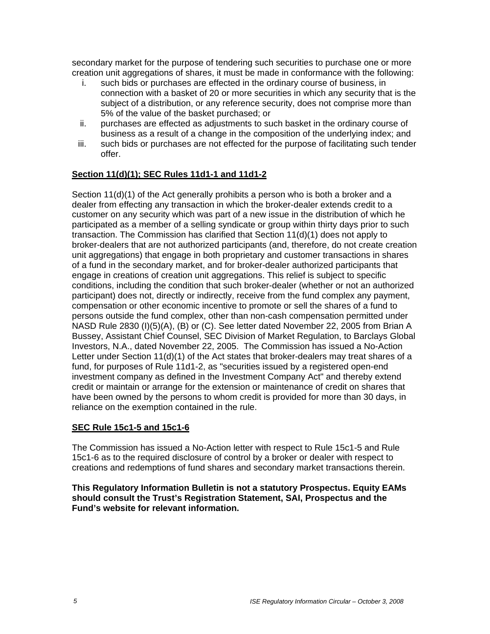secondary market for the purpose of tendering such securities to purchase one or more creation unit aggregations of shares, it must be made in conformance with the following:

- i. such bids or purchases are effected in the ordinary course of business, in connection with a basket of 20 or more securities in which any security that is the subject of a distribution, or any reference security, does not comprise more than 5% of the value of the basket purchased; or
- ii. purchases are effected as adjustments to such basket in the ordinary course of business as a result of a change in the composition of the underlying index; and
- iii. such bids or purchases are not effected for the purpose of facilitating such tender offer.

## **Section 11(d)(1); SEC Rules 11d1-1 and 11d1-2**

Section 11(d)(1) of the Act generally prohibits a person who is both a broker and a dealer from effecting any transaction in which the broker-dealer extends credit to a customer on any security which was part of a new issue in the distribution of which he participated as a member of a selling syndicate or group within thirty days prior to such transaction. The Commission has clarified that Section 11(d)(1) does not apply to broker-dealers that are not authorized participants (and, therefore, do not create creation unit aggregations) that engage in both proprietary and customer transactions in shares of a fund in the secondary market, and for broker-dealer authorized participants that engage in creations of creation unit aggregations. This relief is subject to specific conditions, including the condition that such broker-dealer (whether or not an authorized participant) does not, directly or indirectly, receive from the fund complex any payment, compensation or other economic incentive to promote or sell the shares of a fund to persons outside the fund complex, other than non-cash compensation permitted under NASD Rule 2830 (I)(5)(A), (B) or (C). See letter dated November 22, 2005 from Brian A Bussey, Assistant Chief Counsel, SEC Division of Market Regulation, to Barclays Global Investors, N.A., dated November 22, 2005. The Commission has issued a No-Action Letter under Section 11(d)(1) of the Act states that broker-dealers may treat shares of a fund, for purposes of Rule 11d1-2, as "securities issued by a registered open-end investment company as defined in the Investment Company Act" and thereby extend credit or maintain or arrange for the extension or maintenance of credit on shares that have been owned by the persons to whom credit is provided for more than 30 days, in reliance on the exemption contained in the rule.

### **SEC Rule 15c1-5 and 15c1-6**

The Commission has issued a No-Action letter with respect to Rule 15c1-5 and Rule 15c1-6 as to the required disclosure of control by a broker or dealer with respect to creations and redemptions of fund shares and secondary market transactions therein.

**This Regulatory Information Bulletin is not a statutory Prospectus. Equity EAMs should consult the Trust's Registration Statement, SAI, Prospectus and the Fund's website for relevant information.**